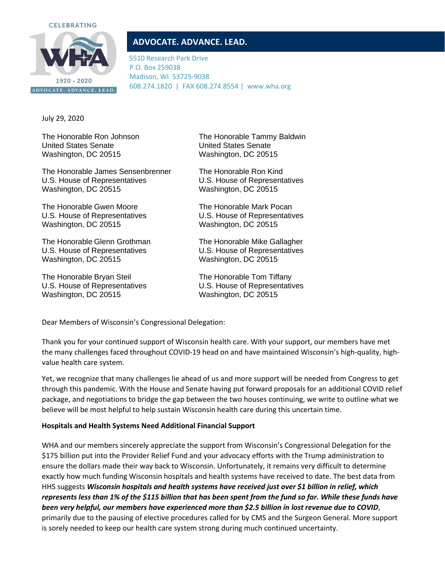

# **ADVOCATE. ADVANCE. LEAD.**

5510 Research Park Drive P.O. Box 259038 Madison, WI 53725-9038 608.274.1820 | FAX 608.274.8554 | www.wha.org

July 29, 2020

United States Senate United States Senate Washington, DC 20515 Washington, DC 20515

The Honorable James Sensenbrenner The Honorable Ron Kind U.S. House of Representatives U.S. House of Representatives Washington, DC 20515 Washington, DC 20515

The Honorable Gwen Moore The Honorable Mark Pocan U.S. House of Representatives U.S. House of Representatives Washington, DC 20515 Washington, DC 20515

The Honorable Glenn Grothman The Honorable Mike Gallagher U.S. House of Representatives U.S. House of Representatives Washington, DC 20515 Washington, DC 20515

The Honorable Bryan Steil The Honorable Tom Tiffany U.S. House of Representatives U.S. House of Representatives Washington, DC 20515 Washington, DC 20515

The Honorable Ron Johnson The Honorable Tammy Baldwin

Dear Members of Wisconsin's Congressional Delegation:

Thank you for your continued support of Wisconsin health care. With your support, our members have met the many challenges faced throughout COVID-19 head on and have maintained Wisconsin's high-quality, highvalue health care system.

Yet, we recognize that many challenges lie ahead of us and more support will be needed from Congress to get through this pandemic. With the House and Senate having put forward proposals for an additional COVID relief package, and negotiations to bridge the gap between the two houses continuing, we write to outline what we believe will be most helpful to help sustain Wisconsin health care during this uncertain time.

## **Hospitals and Health Systems Need Additional Financial Support**

WHA and our members sincerely appreciate the support from Wisconsin's Congressional Delegation for the \$175 billion put into the Provider Relief Fund and your advocacy efforts with the Trump administration to ensure the dollars made their way back to Wisconsin. Unfortunately, it remains very difficult to determine exactly how much funding Wisconsin hospitals and health systems have received to date. The best data from HHS suggests *Wisconsin hospitals and health systems have received just over \$1 billion in relief, which represents less than 1% of the \$115 billion that has been spent from the fund so far. While these funds have been very helpful, our members have experienced more than \$2.5 billion in lost revenue due to COVID*, primarily due to the pausing of elective procedures called for by CMS and the Surgeon General. More support is sorely needed to keep our health care system strong during much continued uncertainty.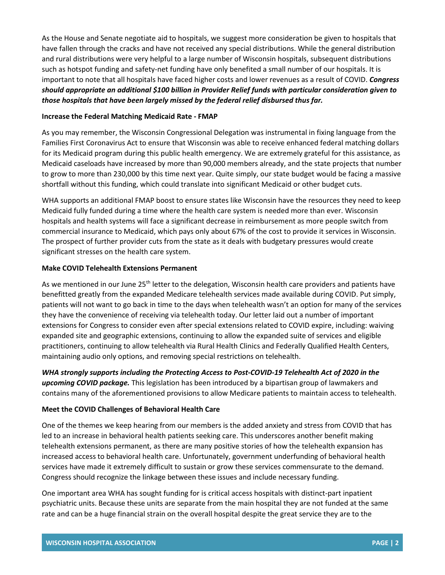As the House and Senate negotiate aid to hospitals, we suggest more consideration be given to hospitals that have fallen through the cracks and have not received any special distributions. While the general distribution and rural distributions were very helpful to a large number of Wisconsin hospitals, subsequent distributions such as hotspot funding and safety-net funding have only benefited a small number of our hospitals. It is important to note that all hospitals have faced higher costs and lower revenues as a result of COVID. *Congress should appropriate an additional \$100 billion in Provider Relief funds with particular consideration given to those hospitals that have been largely missed by the federal relief disbursed thus far.*

## **Increase the Federal Matching Medicaid Rate - FMAP**

As you may remember, the Wisconsin Congressional Delegation was instrumental in fixing language from the Families First Coronavirus Act to ensure that Wisconsin was able to receive enhanced federal matching dollars for its Medicaid program during this public health emergency. We are extremely grateful for this assistance, as Medicaid caseloads have increased by more than 90,000 members already, and the state projects that number to grow to more than 230,000 by this time next year. Quite simply, our state budget would be facing a massive shortfall without this funding, which could translate into significant Medicaid or other budget cuts.

WHA supports an additional FMAP boost to ensure states like Wisconsin have the resources they need to keep Medicaid fully funded during a time where the health care system is needed more than ever. Wisconsin hospitals and health systems will face a significant decrease in reimbursement as more people switch from commercial insurance to Medicaid, which pays only about 67% of the cost to provide it services in Wisconsin. The prospect of further provider cuts from the state as it deals with budgetary pressures would create significant stresses on the health care system.

#### **Make COVID Telehealth Extensions Permanent**

As we mentioned in our June 25<sup>th</sup> letter to the delegation, Wisconsin health care providers and patients have benefitted greatly from the expanded Medicare telehealth services made available during COVID. Put simply, patients will not want to go back in time to the days when telehealth wasn't an option for many of the services they have the convenience of receiving via telehealth today. Our letter laid out a number of important extensions for Congress to consider even after special extensions related to COVID expire, including: waiving expanded site and geographic extensions, continuing to allow the expanded suite of services and eligible practitioners, continuing to allow telehealth via Rural Health Clinics and Federally Qualified Health Centers, maintaining audio only options, and removing special restrictions on telehealth.

*WHA strongly supports including the Protecting Access to Post-COVID-19 Telehealth Act of 2020 in the upcoming COVID package.* This legislation has been introduced by a bipartisan group of lawmakers and contains many of the aforementioned provisions to allow Medicare patients to maintain access to telehealth.

## **Meet the COVID Challenges of Behavioral Health Care**

One of the themes we keep hearing from our members is the added anxiety and stress from COVID that has led to an increase in behavioral health patients seeking care. This underscores another benefit making telehealth extensions permanent, as there are many positive stories of how the telehealth expansion has increased access to behavioral health care. Unfortunately, government underfunding of behavioral health services have made it extremely difficult to sustain or grow these services commensurate to the demand. Congress should recognize the linkage between these issues and include necessary funding.

One important area WHA has sought funding for is critical access hospitals with distinct-part inpatient psychiatric units. Because these units are separate from the main hospital they are not funded at the same rate and can be a huge financial strain on the overall hospital despite the great service they are to the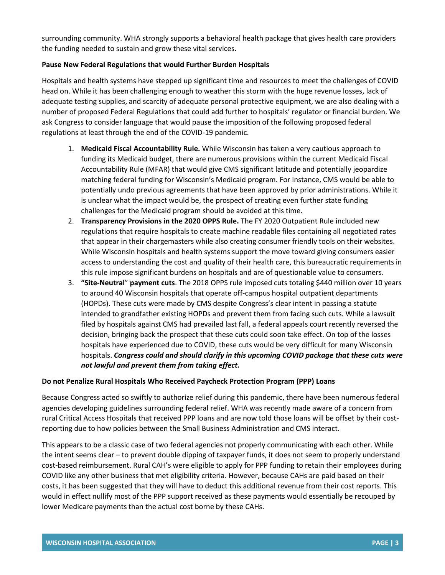surrounding community. WHA strongly supports a behavioral health package that gives health care providers the funding needed to sustain and grow these vital services.

# **Pause New Federal Regulations that would Further Burden Hospitals**

Hospitals and health systems have stepped up significant time and resources to meet the challenges of COVID head on. While it has been challenging enough to weather this storm with the huge revenue losses, lack of adequate testing supplies, and scarcity of adequate personal protective equipment, we are also dealing with a number of proposed Federal Regulations that could add further to hospitals' regulator or financial burden. We ask Congress to consider language that would pause the imposition of the following proposed federal regulations at least through the end of the COVID-19 pandemic.

- 1. **Medicaid Fiscal Accountability Rule.** While Wisconsin has taken a very cautious approach to funding its Medicaid budget, there are numerous provisions within the current Medicaid Fiscal Accountability Rule (MFAR) that would give CMS significant latitude and potentially jeopardize matching federal funding for Wisconsin's Medicaid program. For instance, CMS would be able to potentially undo previous agreements that have been approved by prior administrations. While it is unclear what the impact would be, the prospect of creating even further state funding challenges for the Medicaid program should be avoided at this time.
- 2. **Transparency Provisions in the 2020 OPPS Rule.** The FY 2020 Outpatient Rule included new regulations that require hospitals to create machine readable files containing all negotiated rates that appear in their chargemasters while also creating consumer friendly tools on their websites. While Wisconsin hospitals and health systems support the move toward giving consumers easier access to understanding the cost and quality of their health care, this bureaucratic requirements in this rule impose significant burdens on hospitals and are of questionable value to consumers.
- 3. **"Site-Neutral**" **payment cuts**. The 2018 OPPS rule imposed cuts totaling \$440 million over 10 years to around 40 Wisconsin hospitals that operate off-campus hospital outpatient departments (HOPDs). These cuts were made by CMS despite Congress's clear intent in passing a statute intended to grandfather existing HOPDs and prevent them from facing such cuts. While a lawsuit filed by hospitals against CMS had prevailed last fall, a federal appeals court recently reversed the decision, bringing back the prospect that these cuts could soon take effect. On top of the losses hospitals have experienced due to COVID, these cuts would be very difficult for many Wisconsin hospitals. *Congress could and should clarify in this upcoming COVID package that these cuts were not lawful and prevent them from taking effect.*

## **Do not Penalize Rural Hospitals Who Received Paycheck Protection Program (PPP) Loans**

Because Congress acted so swiftly to authorize relief during this pandemic, there have been numerous federal agencies developing guidelines surrounding federal relief. WHA was recently made aware of a concern from rural Critical Access Hospitals that received PPP loans and are now told those loans will be offset by their costreporting due to how policies between the Small Business Administration and CMS interact.

This appears to be a classic case of two federal agencies not properly communicating with each other. While the intent seems clear – to prevent double dipping of taxpayer funds, it does not seem to properly understand cost-based reimbursement. Rural CAH's were eligible to apply for PPP funding to retain their employees during COVID like any other business that met eligibility criteria. However, because CAHs are paid based on their costs, it has been suggested that they will have to deduct this additional revenue from their cost reports. This would in effect nullify most of the PPP support received as these payments would essentially be recouped by lower Medicare payments than the actual cost borne by these CAHs.